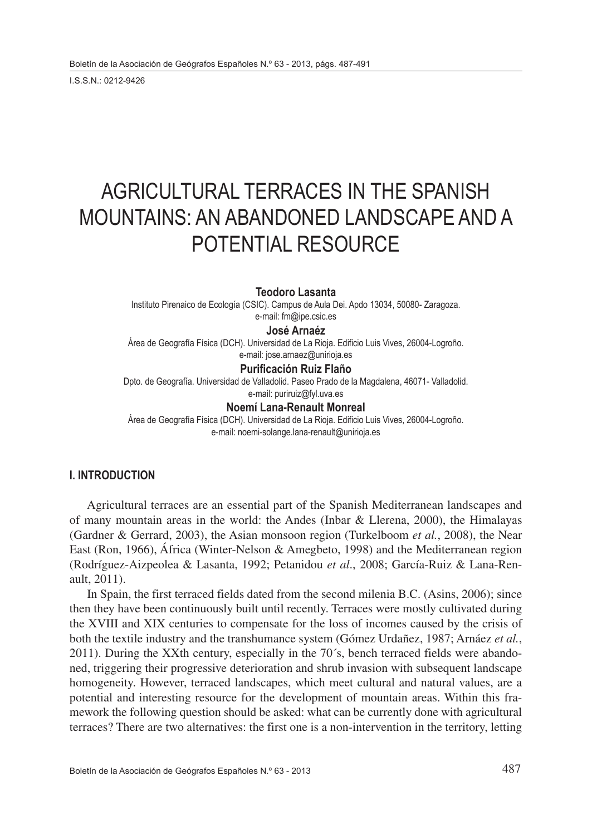I.S.S.N.: 0212-9426

# AGRICULTURAL TERRACES IN THE SPANISH MOUNTAINS: AN ABANDONED LANDSCAPE AND A POTENTIAL RESOURCE

### **Teodoro Lasanta**

Instituto Pirenaico de Ecología (CSIC). Campus de Aula Dei. Apdo 13034, 50080- Zaragoza. e-mail: fm@ipe.csic.es

### **José Arnaéz**

Área de Geografía Física (DCH). Universidad de La Rioja. Edificio Luis Vives, 26004-Logroño. e-mail: jose.arnaez@unirioja.es

#### **Purificación Ruiz Flaño**

Dpto. de Geografía. Universidad de Valladolid. Paseo Prado de la Magdalena, 46071- Valladolid.

e-mail: puriruiz@fyl.uva.es

## **Noemí Lana-Renault Monreal**

Área de Geografía Física (DCH). Universidad de La Rioja. Edificio Luis Vives, 26004-Logroño. e-mail: noemi-solange.lana-renault@unirioja.es

#### **I. INTRODUCTION**

Agricultural terraces are an essential part of the Spanish Mediterranean landscapes and of many mountain areas in the world: the Andes (Inbar & Llerena, 2000), the Himalayas (Gardner & Gerrard, 2003), the Asian monsoon region (Turkelboom *et al.*, 2008), the Near East (Ron, 1966), África (Winter-Nelson & Amegbeto, 1998) and the Mediterranean region (Rodríguez-Aizpeolea & Lasanta, 1992; Petanidou *et al*., 2008; García-Ruiz & Lana-Renault, 2011).

In Spain, the first terraced fields dated from the second milenia B.C. (Asins, 2006); since then they have been continuously built until recently. Terraces were mostly cultivated during the XVIII and XIX centuries to compensate for the loss of incomes caused by the crisis of both the textile industry and the transhumance system (Gómez Urdañez, 1987; Arnáez *et al.*, 2011). During the XXth century, especially in the 70´s, bench terraced fields were abandoned, triggering their progressive deterioration and shrub invasion with subsequent landscape homogeneity. However, terraced landscapes, which meet cultural and natural values, are a potential and interesting resource for the development of mountain areas. Within this framework the following question should be asked: what can be currently done with agricultural terraces? There are two alternatives: the first one is a non-intervention in the territory, letting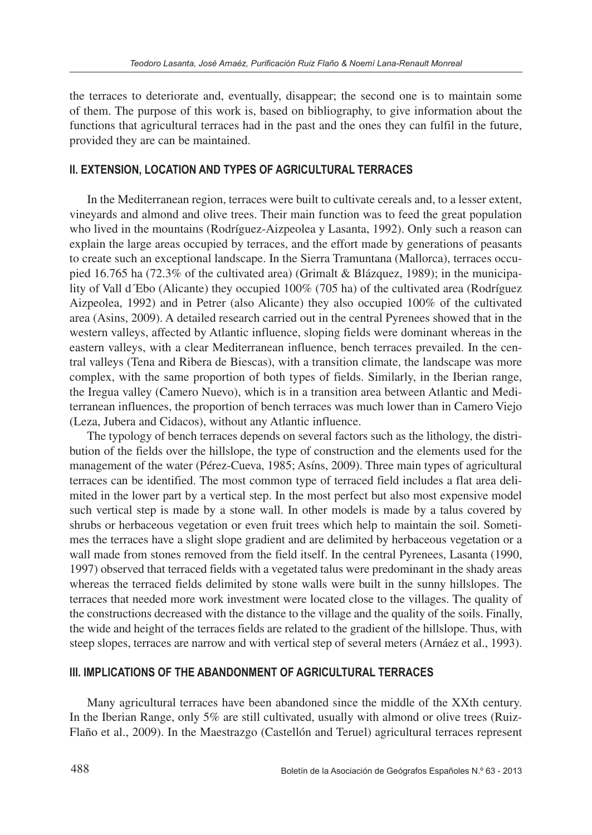the terraces to deteriorate and, eventually, disappear; the second one is to maintain some of them. The purpose of this work is, based on bibliography, to give information about the functions that agricultural terraces had in the past and the ones they can fulfil in the future, provided they are can be maintained.

#### **II. EXTENSION, LOCATION AND TYPES OF AGRICULTURAL TERRACES**

In the Mediterranean region, terraces were built to cultivate cereals and, to a lesser extent, vineyards and almond and olive trees. Their main function was to feed the great population who lived in the mountains (Rodríguez-Aizpeolea y Lasanta, 1992). Only such a reason can explain the large areas occupied by terraces, and the effort made by generations of peasants to create such an exceptional landscape. In the Sierra Tramuntana (Mallorca), terraces occupied 16.765 ha (72.3% of the cultivated area) (Grimalt & Blázquez, 1989); in the municipality of Vall d´Ebo (Alicante) they occupied 100% (705 ha) of the cultivated area (Rodríguez Aizpeolea, 1992) and in Petrer (also Alicante) they also occupied 100% of the cultivated area (Asins, 2009). A detailed research carried out in the central Pyrenees showed that in the western valleys, affected by Atlantic influence, sloping fields were dominant whereas in the eastern valleys, with a clear Mediterranean influence, bench terraces prevailed. In the central valleys (Tena and Ribera de Biescas), with a transition climate, the landscape was more complex, with the same proportion of both types of fields. Similarly, in the Iberian range, the Iregua valley (Camero Nuevo), which is in a transition area between Atlantic and Mediterranean influences, the proportion of bench terraces was much lower than in Camero Viejo (Leza, Jubera and Cidacos), without any Atlantic influence.

The typology of bench terraces depends on several factors such as the lithology, the distribution of the fields over the hillslope, the type of construction and the elements used for the management of the water (Pérez-Cueva, 1985; Asíns, 2009). Three main types of agricultural terraces can be identified. The most common type of terraced field includes a flat area delimited in the lower part by a vertical step. In the most perfect but also most expensive model such vertical step is made by a stone wall. In other models is made by a talus covered by shrubs or herbaceous vegetation or even fruit trees which help to maintain the soil. Sometimes the terraces have a slight slope gradient and are delimited by herbaceous vegetation or a wall made from stones removed from the field itself. In the central Pyrenees, Lasanta (1990, 1997) observed that terraced fields with a vegetated talus were predominant in the shady areas whereas the terraced fields delimited by stone walls were built in the sunny hillslopes. The terraces that needed more work investment were located close to the villages. The quality of the constructions decreased with the distance to the village and the quality of the soils. Finally, the wide and height of the terraces fields are related to the gradient of the hillslope. Thus, with steep slopes, terraces are narrow and with vertical step of several meters (Arnáez et al., 1993).

# **III. IMPLICATIONS OF THE ABANDONMENT OF AGRICULTURAL TERRACES**

Many agricultural terraces have been abandoned since the middle of the XXth century. In the Iberian Range, only 5% are still cultivated, usually with almond or olive trees (Ruiz-Flaño et al., 2009). In the Maestrazgo (Castellón and Teruel) agricultural terraces represent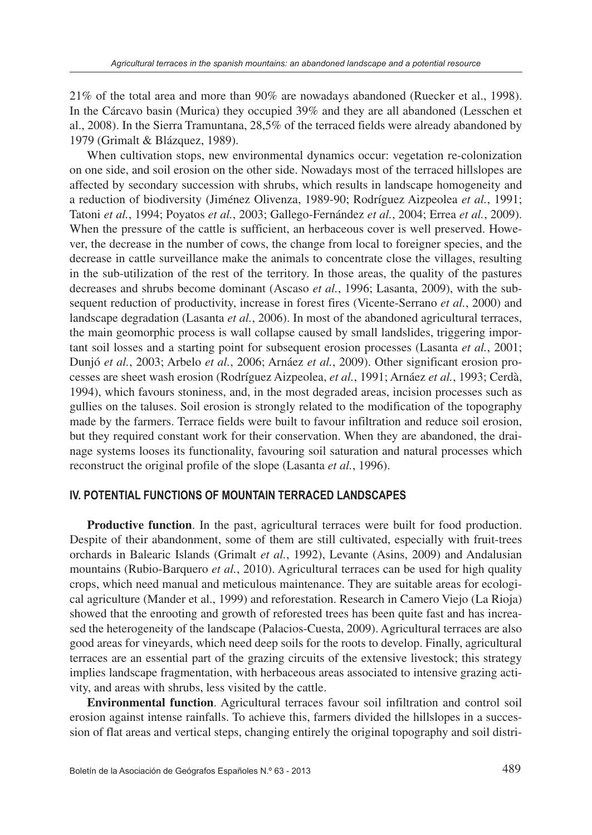21% of the total area and more than 90% are nowadays abandoned (Ruecker et al., 1998). In the Cárcavo basin (Murica) they occupied 39% and they are all abandoned (Lesschen et al., 2008). In the Sierra Tramuntana, 28,5% of the terraced fields were already abandoned by 1979 (Grimalt & Blázquez, 1989).

When cultivation stops, new environmental dynamics occur: vegetation re-colonization on one side, and soil erosion on the other side. Nowadays most of the terraced hillslopes are affected by secondary succession with shrubs, which results in landscape homogeneity and a reduction of biodiversity (Jiménez Olivenza, 1989-90; Rodríguez Aizpeolea *et al.*, 1991; Tatoni *et al.*, 1994; Poyatos *et al.*, 2003; Gallego-Fernández *et al.*, 2004; Errea *et al.*, 2009). When the pressure of the cattle is sufficient, an herbaceous cover is well preserved. However, the decrease in the number of cows, the change from local to foreigner species, and the decrease in cattle surveillance make the animals to concentrate close the villages, resulting in the sub-utilization of the rest of the territory. In those areas, the quality of the pastures decreases and shrubs become dominant (Ascaso *et al.*, 1996; Lasanta, 2009), with the subsequent reduction of productivity, increase in forest fires (Vicente-Serrano *et al.*, 2000) and landscape degradation (Lasanta *et al.*, 2006). In most of the abandoned agricultural terraces, the main geomorphic process is wall collapse caused by small landslides, triggering important soil losses and a starting point for subsequent erosion processes (Lasanta *et al.*, 2001; Dunjó *et al.*, 2003; Arbelo *et al.*, 2006; Arnáez *et al.*, 2009). Other significant erosion processes are sheet wash erosion (Rodríguez Aizpeolea, *et al.*, 1991; Arnáez *et al.*, 1993; Cerdà, 1994), which favours stoniness, and, in the most degraded areas, incision processes such as gullies on the taluses. Soil erosion is strongly related to the modification of the topography made by the farmers. Terrace fields were built to favour infiltration and reduce soil erosion, but they required constant work for their conservation. When they are abandoned, the drainage systems looses its functionality, favouring soil saturation and natural processes which reconstruct the original profile of the slope (Lasanta *et al.*, 1996).

#### **IV. POTENTIAL FUNCTIONS OF MOUNTAIN TERRACED LANDSCAPES**

**Productive function**. In the past, agricultural terraces were built for food production. Despite of their abandonment, some of them are still cultivated, especially with fruit-trees orchards in Balearic Islands (Grimalt *et al.*, 1992), Levante (Asins, 2009) and Andalusian mountains (Rubio-Barquero *et al.*, 2010). Agricultural terraces can be used for high quality crops, which need manual and meticulous maintenance. They are suitable areas for ecological agriculture (Mander et al., 1999) and reforestation. Research in Camero Viejo (La Rioja) showed that the enrooting and growth of reforested trees has been quite fast and has increased the heterogeneity of the landscape (Palacios-Cuesta, 2009). Agricultural terraces are also good areas for vineyards, which need deep soils for the roots to develop. Finally, agricultural terraces are an essential part of the grazing circuits of the extensive livestock; this strategy implies landscape fragmentation, with herbaceous areas associated to intensive grazing activity, and areas with shrubs, less visited by the cattle.

**Environmental function**. Agricultural terraces favour soil infiltration and control soil erosion against intense rainfalls. To achieve this, farmers divided the hillslopes in a succession of flat areas and vertical steps, changing entirely the original topography and soil distri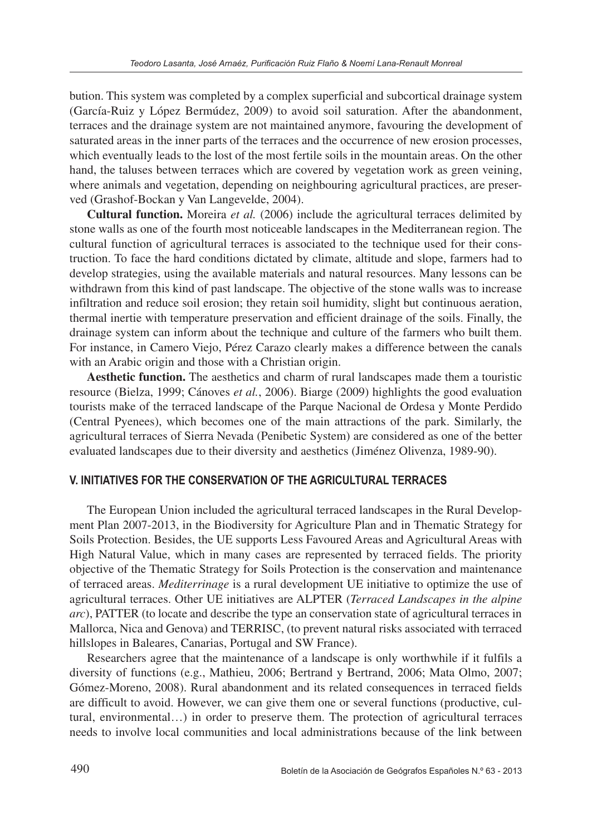bution. This system was completed by a complex superficial and subcortical drainage system (García-Ruiz y López Bermúdez, 2009) to avoid soil saturation. After the abandonment, terraces and the drainage system are not maintained anymore, favouring the development of saturated areas in the inner parts of the terraces and the occurrence of new erosion processes, which eventually leads to the lost of the most fertile soils in the mountain areas. On the other hand, the taluses between terraces which are covered by vegetation work as green veining, where animals and vegetation, depending on neighbouring agricultural practices, are preserved (Grashof-Bockan y Van Langevelde, 2004).

**Cultural function.** Moreira *et al.* (2006) include the agricultural terraces delimited by stone walls as one of the fourth most noticeable landscapes in the Mediterranean region. The cultural function of agricultural terraces is associated to the technique used for their construction. To face the hard conditions dictated by climate, altitude and slope, farmers had to develop strategies, using the available materials and natural resources. Many lessons can be withdrawn from this kind of past landscape. The objective of the stone walls was to increase infiltration and reduce soil erosion; they retain soil humidity, slight but continuous aeration, thermal inertie with temperature preservation and efficient drainage of the soils. Finally, the drainage system can inform about the technique and culture of the farmers who built them. For instance, in Camero Viejo, Pérez Carazo clearly makes a difference between the canals with an Arabic origin and those with a Christian origin.

**Aesthetic function.** The aesthetics and charm of rural landscapes made them a touristic resource (Bielza, 1999; Cánoves *et al.*, 2006). Biarge (2009) highlights the good evaluation tourists make of the terraced landscape of the Parque Nacional de Ordesa y Monte Perdido (Central Pyenees), which becomes one of the main attractions of the park. Similarly, the agricultural terraces of Sierra Nevada (Penibetic System) are considered as one of the better evaluated landscapes due to their diversity and aesthetics (Jiménez Olivenza, 1989-90).

# **V. INITIATIVES FOR THE CONSERVATION OF THE AGRICULTURAL TERRACES**

The European Union included the agricultural terraced landscapes in the Rural Development Plan 2007-2013, in the Biodiversity for Agriculture Plan and in Thematic Strategy for Soils Protection. Besides, the UE supports Less Favoured Areas and Agricultural Areas with High Natural Value, which in many cases are represented by terraced fields. The priority objective of the Thematic Strategy for Soils Protection is the conservation and maintenance of terraced areas. *Mediterrinage* is a rural development UE initiative to optimize the use of agricultural terraces. Other UE initiatives are ALPTER (*Terraced Landscapes in the alpine arc*), PATTER (to locate and describe the type an conservation state of agricultural terraces in Mallorca, Nica and Genova) and TERRISC, (to prevent natural risks associated with terraced hillslopes in Baleares, Canarias, Portugal and SW France).

Researchers agree that the maintenance of a landscape is only worthwhile if it fulfils a diversity of functions (e.g., Mathieu, 2006; Bertrand y Bertrand, 2006; Mata Olmo, 2007; Gómez-Moreno, 2008). Rural abandonment and its related consequences in terraced fields are difficult to avoid. However, we can give them one or several functions (productive, cultural, environmental…) in order to preserve them. The protection of agricultural terraces needs to involve local communities and local administrations because of the link between